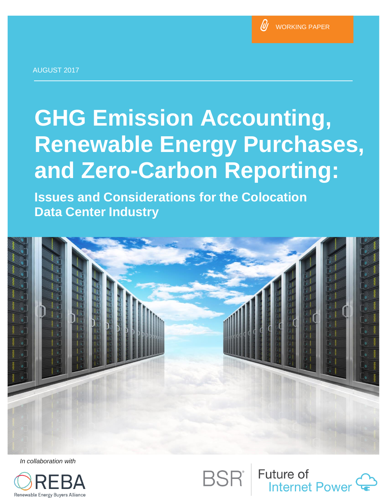

AUGUST 2017

# **GHG Emission Accounting, Renewable Energy Purchases, and Zero-Carbon Reporting:**

**Issues and Considerations for the Colocation Data Center Industry Counting School Counting School Counting Counting Counting Counting Counting Counting Counting Counting Counting Counting Counting Counting Counting Counting Counting Counting Counting Counting Coun** 



*In collaboration with*



**Future of Internet Power**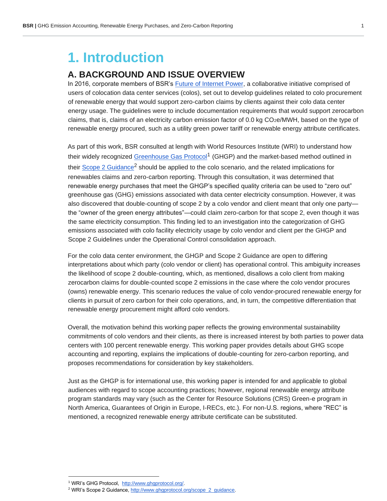# **1. Introduction**

#### **A. BACKGROUND AND ISSUE OVERVIEW**

In 2016, corporate members of BSR's Future of Internet Power, a collaborative initiative comprised of users of colocation data center services (colos), set out to develop guidelines related to colo procurement of renewable energy that would support zero-carbon claims by clients against their colo data center energy usage. The guidelines were to include documentation requirements that would support zerocarbon claims, that is, claims of an electricity carbon emission factor of 0.0 kg CO2e/MWH, based on the type of renewable energy procured, such as a utility green power tariff or renewable energy attribute certificates.

As part of this work, BSR consulted at length with World Resources Institute (WRI) to understand how their widely recognized Greenhouse Gas Protocol<sup>1</sup> (GHGP) and the market-based method outlined in their Scope 2 Guidance<sup>2</sup> should be applied to the colo scenario, and the related implications for renewables claims and zero-carbon reporting. Through this consultation, it was determined that renewable energy purchases that meet the GHGP's specified quality criteria can be used to "zero out" greenhouse gas (GHG) emissions associated with data center electricity consumption. However, it was also discovered that double-counting of scope 2 by a colo vendor and client meant that only one party the "owner of the green energy attributes"—could claim zero-carbon for that scope 2, even though it was the same electricity consumption. This finding led to an investigation into the categorization of GHG emissions associated with colo facility electricity usage by colo vendor and client per the GHGP and Scope 2 Guidelines under the Operational Control consolidation approach.

For the colo data center environment, the GHGP and Scope 2 Guidance are open to differing interpretations about which party (colo vendor or client) has operational control. This ambiguity increases the likelihood of scope 2 double-counting, which, as mentioned, disallows a colo client from making zerocarbon claims for double-counted scope 2 emissions in the case where the colo vendor procures (owns) renewable energy. This scenario reduces the value of colo vendor-procured renewable energy for clients in pursuit of zero carbon for their colo operations, and, in turn, the competitive differentiation that renewable energy procurement might afford colo vendors.

Overall, the motivation behind this working paper reflects the growing environmental sustainability commitments of colo vendors and their clients, as there is increased interest by both parties to power data centers with 100 percent renewable energy. This working paper provides details about GHG scope accounting and reporting, explains the implications of double-counting for zero-carbon reporting, and proposes recommendations for consideration by key stakeholders.

Just as the GHGP is for international use, this working paper is intended for and applicable to global audiences with regard to scope accounting practices; however, regional renewable energy attribute program standards may vary (such as the Center for Resource Solutions (CRS) Green-e program in North America, Guarantees of Origin in Europe, I-RECs, etc.). For non-U.S. regions, where "REC" is mentioned, a recognized renewable energy attribute certificate can be substituted.

<sup>1</sup> WRI's GHG Protocol, http://www.ghgprotocol.org/.

<sup>&</sup>lt;sup>2</sup> WRI's Scope 2 Guidance, http://www.ghgprotocol.org/scope\_2\_guidance.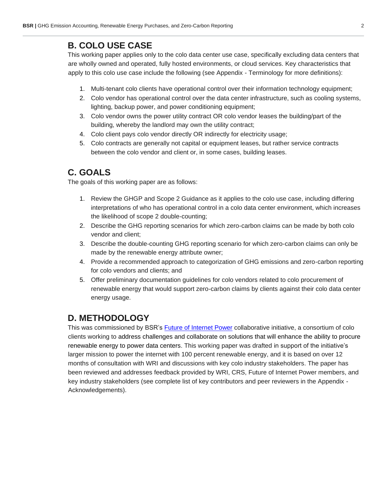## **B. COLO USE CASE**

This working paper applies only to the colo data center use case, specifically excluding data centers that are wholly owned and operated, fully hosted environments, or cloud services. Key characteristics that apply to this colo use case include the following (see Appendix - Terminology for more definitions):

- 1. Multi-tenant colo clients have operational control over their information technology equipment;
- 2. Colo vendor has operational control over the data center infrastructure, such as cooling systems, lighting, backup power, and power conditioning equipment;
- 3. Colo vendor owns the power utility contract OR colo vendor leases the building/part of the building, whereby the landlord may own the utility contract;
- 4. Colo client pays colo vendor directly OR indirectly for electricity usage;
- 5. Colo contracts are generally not capital or equipment leases, but rather service contracts between the colo vendor and client or, in some cases, building leases.

## **C. GOALS**

The goals of this working paper are as follows:

- 1. Review the GHGP and Scope 2 Guidance as it applies to the colo use case, including differing interpretations of who has operational control in a colo data center environment, which increases the likelihood of scope 2 double-counting;
- 2. Describe the GHG reporting scenarios for which zero-carbon claims can be made by both colo vendor and client;
- 3. Describe the double-counting GHG reporting scenario for which zero-carbon claims can only be made by the renewable energy attribute owner;
- 4. Provide a recommended approach to categorization of GHG emissions and zero-carbon reporting for colo vendors and clients; and
- 5. Offer preliminary documentation guidelines for colo vendors related to colo procurement of renewable energy that would support zero-carbon claims by clients against their colo data center energy usage.

# **D. METHODOLOGY**

This was commissioned by BSR's Future of Internet Power collaborative initiative, a consortium of colo clients working to address challenges and collaborate on solutions that will enhance the ability to procure renewable energy to power data centers. This working paper was drafted in support of the initiative's larger mission to power the internet with 100 percent renewable energy, and it is based on over 12 months of consultation with WRI and discussions with key colo industry stakeholders. The paper has been reviewed and addresses feedback provided by WRI, CRS, Future of Internet Power members, and key industry stakeholders (see complete list of key contributors and peer reviewers in the Appendix - Acknowledgements).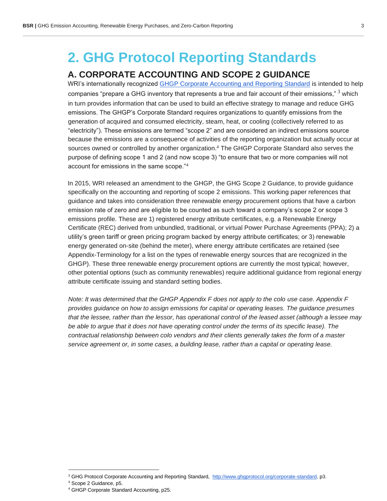# **2. GHG Protocol Reporting Standards**

### **A. CORPORATE ACCOUNTING AND SCOPE 2 GUIDANCE**

WRI's internationally recognized GHGP Corporate Accounting and Reporting Standard is intended to help companies "prepare a GHG inventory that represents a true and fair account of their emissions," <sup>3</sup> which in turn provides information that can be used to build an effective strategy to manage and reduce GHG emissions. The GHGP's Corporate Standard requires organizations to quantify emissions from the generation of acquired and consumed electricity, steam, heat, or cooling (collectively referred to as "electricity"). These emissions are termed "scope 2" and are considered an indirect emissions source because the emissions are a consequence of activities of the reporting organization but actually occur at sources owned or controlled by another organization.<sup>4</sup> The GHGP Corporate Standard also serves the purpose of defining scope 1 and 2 (and now scope 3) "to ensure that two or more companies will not account for emissions in the same scope."<sup>4</sup>

In 2015, WRI released an amendment to the GHGP, the GHG Scope 2 Guidance, to provide guidance specifically on the accounting and reporting of scope 2 emissions. This working paper references that guidance and takes into consideration three renewable energy procurement options that have a carbon emission rate of zero and are eligible to be counted as such toward a company's scope 2 or scope 3 emissions profile. These are 1) registered energy attribute certificates, e.g. a Renewable Energy Certificate (REC) derived from unbundled, traditional, or virtual Power Purchase Agreements (PPA); 2) a utility's green tariff or green pricing program backed by energy attribute certificates; or 3) renewable energy generated on-site (behind the meter), where energy attribute certificates are retained (see Appendix-Terminology for a list on the types of renewable energy sources that are recognized in the GHGP). These three renewable energy procurement options are currently the most typical; however, other potential options (such as community renewables) require additional guidance from regional energy attribute certificate issuing and standard setting bodies.

*Note: It was determined that the GHGP Appendix F does not apply to the colo use case. Appendix F provides guidance on how to assign emissions for capital or operating leases. The guidance presumes that the lessee, rather than the lessor, has operational control of the leased asset (although a lessee may be able to argue that it does not have operating control under the terms of its specific lease). The contractual relationship between colo vendors and their clients generally takes the form of a master service agreement or, in some cases, a building lease, rather than a capital or operating lease.* 

<sup>&</sup>lt;sup>3</sup> GHG Protocol Corporate Accounting and Reporting Standard, http://www.ghgprotocol.org/corporate-standard, p3.

<sup>4</sup> Scope 2 Guidance, p5.

<sup>4</sup> GHGP Corporate Standard Accounting, p25.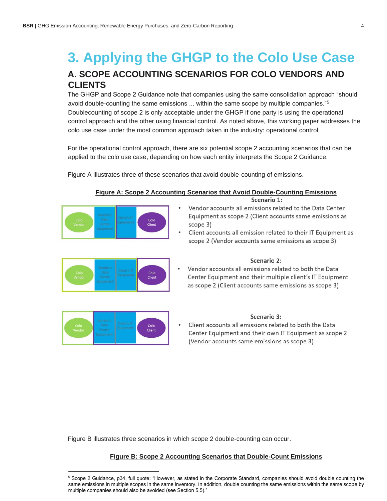# **3. Applying the GHGP to the Colo Use Case A. SCOPE ACCOUNTING SCENARIOS FOR COLO VENDORS AND CLIENTS**

The GHGP and Scope 2 Guidance note that companies using the same consolidation approach "should avoid double-counting the same emissions ... within the same scope by multiple companies."<sup>5</sup> Doublecounting of scope 2 is only acceptable under the GHGP if one party is using the operational control approach and the other using financial control. As noted above, this working paper addresses the colo use case under the most common approach taken in the industry: operational control.

For the operational control approach, there are six potential scope 2 accounting scenarios that can be applied to the colo use case, depending on how each entity interprets the Scope 2 Guidance.

Figure A illustrates three of these scenarios that avoid double-counting of emissions.



#### **Figure A: Scope 2 Accounting Scenarios that Avoid Double-Counting Emissions**

Scenario 1:

- Vendor accounts all emissions related to the Data Center Equipment as scope 2 (Client accounts same emissions as scope  $3)$
- Client accounts all emission related to their IT Equipment as scope 2 (Vendor accounts same emissions as scope 3)



#### Scenario 2:

Vendor accounts all emissions related to both the Data Center Equipment and their multiple client's IT Equipment as scope 2 (Client accounts same emissions as scope 3)



#### Scenario 3:

Client accounts all emissions related to both the Data Center Equipment and their own IT Equipment as scope 2 (Vendor accounts same emissions as scope 3)

Figure B illustrates three scenarios in which scope 2 double-counting can occur.

#### **Figure B: Scope 2 Accounting Scenarios that Double-Count Emissions**

<sup>&</sup>lt;sup>5</sup> Scope 2 Guidance, p34, full quote: "However, as stated in the Corporate Standard, companies should avoid double counting the same emissions in multiple scopes in the same inventory. In addition, double counting the same emissions within the same scope by multiple companies should also be avoided (see Section 5.5)."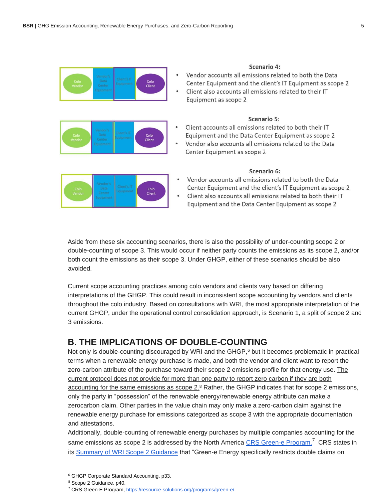| Colo<br>Vendor | Client | Colo<br>Client |
|----------------|--------|----------------|
|----------------|--------|----------------|

| Scenario 4: |  |
|-------------|--|
|             |  |

- Vendor accounts all emissions related to both the Data Center Equipment and the client's IT Equipment as scope 2
- Client also accounts all emissions related to their IT Equipment as scope 2

#### Scenario 5:

- Client accounts all emissions related to both their IT Equipment and the Data Center Equipment as scope 2
- Vendor also accounts all emissions related to the Data Center Equipment as scope 2

| Colo<br>Vendor |  | ı | Colo<br>Client |  |
|----------------|--|---|----------------|--|
|----------------|--|---|----------------|--|

Colo Client

#### Scenario 6:

- Vendor accounts all emissions related to both the Data Center Equipment and the client's IT Equipment as scope 2
- Client also accounts all emissions related to both their IT Equipment and the Data Center Equipment as scope 2

Aside from these six accounting scenarios, there is also the possibility of under-counting scope 2 or double-counting of scope 3. This would occur if neither party counts the emissions as its scope 2, and/or both count the emissions as their scope 3. Under GHGP, either of these scenarios should be also avoided.

Current scope accounting practices among colo vendors and clients vary based on differing interpretations of the GHGP. This could result in inconsistent scope accounting by vendors and clients throughout the colo industry. Based on consultations with WRI, the most appropriate interpretation of the current GHGP, under the operational control consolidation approach, is Scenario 1, a split of scope 2 and 3 emissions.

#### **B. THE IMPLICATIONS OF DOUBLE-COUNTING**

Not only is double-counting discouraged by WRI and the GHGP,<sup>6</sup> but it becomes problematic in practical terms when a renewable energy purchase is made, and both the vendor and client want to report the zero-carbon attribute of the purchase toward their scope 2 emissions profile for that energy use. The current protocol does not provide for more than one party to report zero carbon if they are both accounting for the same emissions as scope 2.<sup>8</sup> Rather, the GHGP indicates that for scope 2 emissions, only the party in "possession" of the renewable energy/renewable energy attribute can make a zerocarbon claim. Other parties in the value chain may only make a zero-carbon claim against the renewable energy purchase for emissions categorized as scope 3 with the appropriate documentation and attestations.

Additionally, double-counting of renewable energy purchases by multiple companies accounting for the same emissions as scope 2 is addressed by the North America CRS Green-e Program.<sup>7</sup> CRS states in its Summary of WRI Scope 2 Guidance that "Green-e Energy specifically restricts double claims on

<sup>6</sup> GHGP Corporate Standard Accounting, p33.

<sup>8</sup> Scope 2 Guidance, p40.

<sup>7</sup> CRS Green-E Program, https://resource-solutions.org/programs/green-e/.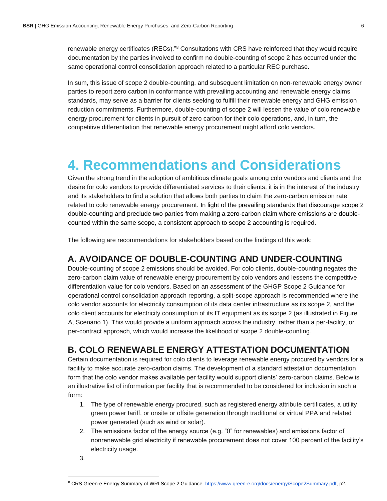renewable energy certificates (RECs)."<sup>8</sup> Consultations with CRS have reinforced that they would require documentation by the parties involved to confirm no double-counting of scope 2 has occurred under the same operational control consolidation approach related to a particular REC purchase.

In sum, this issue of scope 2 double-counting, and subsequent limitation on non-renewable energy owner parties to report zero carbon in conformance with prevailing accounting and renewable energy claims standards, may serve as a barrier for clients seeking to fulfill their renewable energy and GHG emission reduction commitments. Furthermore, double-counting of scope 2 will lessen the value of colo renewable energy procurement for clients in pursuit of zero carbon for their colo operations, and, in turn, the competitive differentiation that renewable energy procurement might afford colo vendors.

# **4. Recommendations and Considerations**

Given the strong trend in the adoption of ambitious climate goals among colo vendors and clients and the desire for colo vendors to provide differentiated services to their clients, it is in the interest of the industry and its stakeholders to find a solution that allows both parties to claim the zero-carbon emission rate related to colo renewable energy procurement. In light of the prevailing standards that discourage scope 2 double-counting and preclude two parties from making a zero-carbon claim where emissions are doublecounted within the same scope, a consistent approach to scope 2 accounting is required.

The following are recommendations for stakeholders based on the findings of this work:

### **A. AVOIDANCE OF DOUBLE-COUNTING AND UNDER-COUNTING**

Double-counting of scope 2 emissions should be avoided. For colo clients, double-counting negates the zero-carbon claim value of renewable energy procurement by colo vendors and lessens the competitive differentiation value for colo vendors. Based on an assessment of the GHGP Scope 2 Guidance for operational control consolidation approach reporting, a split-scope approach is recommended where the colo vendor accounts for electricity consumption of its data center infrastructure as its scope 2, and the colo client accounts for electricity consumption of its IT equipment as its scope 2 (as illustrated in Figure A, Scenario 1). This would provide a uniform approach across the industry, rather than a per-facility, or per-contract approach, which would increase the likelihood of scope 2 double-counting.

### **B. COLO RENEWABLE ENERGY ATTESTATION DOCUMENTATION**

Certain documentation is required for colo clients to leverage renewable energy procured by vendors for a facility to make accurate zero-carbon claims. The development of a standard attestation documentation form that the colo vendor makes available per facility would support clients' zero-carbon claims. Below is an illustrative list of information per facility that is recommended to be considered for inclusion in such a form:

- 1. The type of renewable energy procured, such as registered energy attribute certificates, a utility green power tariff, or onsite or offsite generation through traditional or virtual PPA and related power generated (such as wind or solar).
- 2. The emissions factor of the energy source (e.g. "0" for renewables) and emissions factor of nonrenewable grid electricity if renewable procurement does not cover 100 percent of the facility's electricity usage.
- 3.

<sup>&</sup>lt;sup>8</sup> CRS Green-e Energy Summary of WRI Scope 2 Guidance, https://www.green-e.org/docs/energy/Scope2Summary.pdf, p2.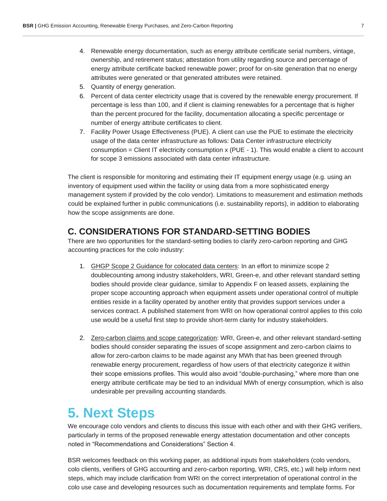- 4. Renewable energy documentation, such as energy attribute certificate serial numbers, vintage, ownership, and retirement status; attestation from utility regarding source and percentage of energy attribute certificate backed renewable power; proof for on-site generation that no energy attributes were generated or that generated attributes were retained.
- 5. Quantity of energy generation.
- 6. Percent of data center electricity usage that is covered by the renewable energy procurement. If percentage is less than 100, and if client is claiming renewables for a percentage that is higher than the percent procured for the facility, documentation allocating a specific percentage or number of energy attribute certificates to client.
- 7. Facility Power Usage Effectiveness (PUE). A client can use the PUE to estimate the electricity usage of the data center infrastructure as follows: Data Center infrastructure electricity consumption = Client IT electricity consumption  $x$  (PUE - 1). This would enable a client to account for scope 3 emissions associated with data center infrastructure.

The client is responsible for monitoring and estimating their IT equipment energy usage (e.g. using an inventory of equipment used within the facility or using data from a more sophisticated energy management system if provided by the colo vendor). Limitations to measurement and estimation methods could be explained further in public communications (i.e. sustainability reports), in addition to elaborating how the scope assignments are done.

### **C. CONSIDERATIONS FOR STANDARD-SETTING BODIES**

There are two opportunities for the standard-setting bodies to clarify zero-carbon reporting and GHG accounting practices for the colo industry:

- 1. GHGP Scope 2 Guidance for colocated data centers: In an effort to minimize scope 2 doublecounting among industry stakeholders, WRI, Green-e, and other relevant standard setting bodies should provide clear guidance, similar to Appendix F on leased assets, explaining the proper scope accounting approach when equipment assets under operational control of multiple entities reside in a facility operated by another entity that provides support services under a services contract. A published statement from WRI on how operational control applies to this colo use would be a useful first step to provide short-term clarity for industry stakeholders.
- 2. Zero-carbon claims and scope categorization: WRI, Green-e, and other relevant standard-setting bodies should consider separating the issues of scope assignment and zero-carbon claims to allow for zero-carbon claims to be made against any MWh that has been greened through renewable energy procurement, regardless of how users of that electricity categorize it within their scope emissions profiles. This would also avoid "double-purchasing," where more than one energy attribute certificate may be tied to an individual MWh of energy consumption, which is also undesirable per prevailing accounting standards.

# **5. Next Steps**

We encourage colo vendors and clients to discuss this issue with each other and with their GHG verifiers, particularly in terms of the proposed renewable energy attestation documentation and other concepts noted in "Recommendations and Considerations" Section 4.

BSR welcomes feedback on this working paper, as additional inputs from stakeholders (colo vendors, colo clients, verifiers of GHG accounting and zero-carbon reporting, WRI, CRS, etc.) will help inform next steps, which may include clarification from WRI on the correct interpretation of operational control in the colo use case and developing resources such as documentation requirements and template forms. For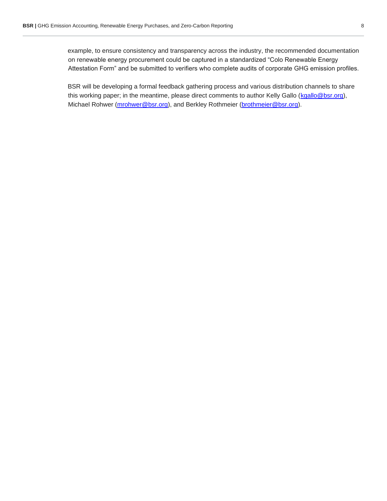example, to ensure consistency and transparency across the industry, the recommended documentation on renewable energy procurement could be captured in a standardized "Colo Renewable Energy Attestation Form" and be submitted to verifiers who complete audits of corporate GHG emission profiles.

BSR will be developing a formal feedback gathering process and various distribution channels to share this working paper; in the meantime, please direct comments to author Kelly Gallo (kgallo@bsr.org), Michael Rohwer (mrohwer@bsr.org), and Berkley Rothmeier (brothmeier@bsr.org).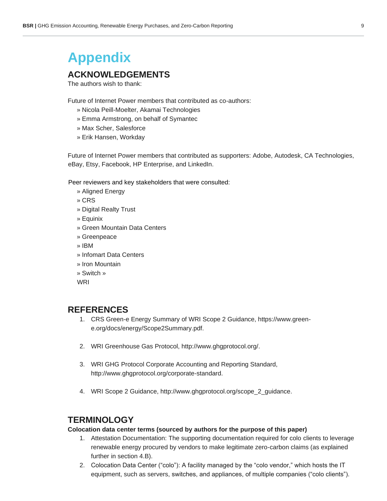# **Appendix**

### **ACKNOWLEDGEMENTS**

The authors wish to thank:

Future of Internet Power members that contributed as co-authors:

- » Nicola Peill-Moelter, Akamai Technologies
- » Emma Armstrong, on behalf of Symantec
- » Max Scher, Salesforce
- » Erik Hansen, Workday

Future of Internet Power members that contributed as supporters: Adobe, Autodesk, CA Technologies, eBay, Etsy, Facebook, HP Enterprise, and LinkedIn.

Peer reviewers and key stakeholders that were consulted:

- » Aligned Energy
- » CRS
- » Digital Realty Trust
- » Equinix
- » Green Mountain Data Centers
- » Greenpeace
- » IBM
- » Infomart Data Centers
- » Iron Mountain
- » Switch »
- WRI

#### **REFERENCES**

- 1. CRS Green-e Energy Summary of WRI Scope 2 Guidance, https://www.greene.org/docs/energy/Scope2Summary.pdf.
- 2. WRI Greenhouse Gas Protocol, http://www.ghgprotocol.org/.
- 3. WRI GHG Protocol Corporate Accounting and Reporting Standard, http://www.ghgprotocol.org/corporate-standard.
- 4. WRI Scope 2 Guidance, http://www.ghgprotocol.org/scope\_2\_guidance.

#### **TERMINOLOGY**

#### **Colocation data center terms (sourced by authors for the purpose of this paper)**

- 1. Attestation Documentation: The supporting documentation required for colo clients to leverage renewable energy procured by vendors to make legitimate zero-carbon claims (as explained further in section 4.B).
- 2. Colocation Data Center ("colo"): A facility managed by the "colo vendor," which hosts the IT equipment, such as servers, switches, and appliances, of multiple companies ("colo clients").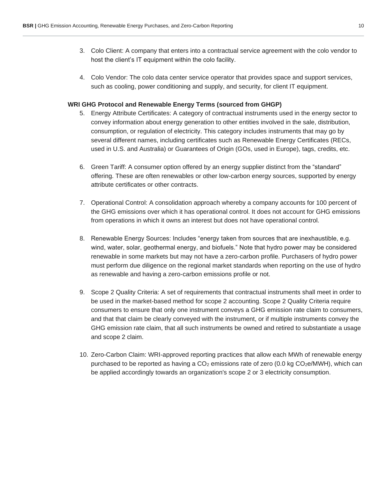- 3. Colo Client: A company that enters into a contractual service agreement with the colo vendor to host the client's IT equipment within the colo facility.
- 4. Colo Vendor: The colo data center service operator that provides space and support services, such as cooling, power conditioning and supply, and security, for client IT equipment.

#### **WRI GHG Protocol and Renewable Energy Terms (sourced from GHGP)**

- 5. Energy Attribute Certificates: A category of contractual instruments used in the energy sector to convey information about energy generation to other entities involved in the sale, distribution, consumption, or regulation of electricity. This category includes instruments that may go by several different names, including certificates such as Renewable Energy Certificates (RECs, used in U.S. and Australia) or Guarantees of Origin (GOs, used in Europe), tags, credits, etc.
- 6. Green Tariff: A consumer option offered by an energy supplier distinct from the "standard" offering. These are often renewables or other low-carbon energy sources, supported by energy attribute certificates or other contracts.
- 7. Operational Control: A consolidation approach whereby a company accounts for 100 percent of the GHG emissions over which it has operational control. It does not account for GHG emissions from operations in which it owns an interest but does not have operational control.
- 8. Renewable Energy Sources: Includes "energy taken from sources that are inexhaustible, e.g. wind, water, solar, geothermal energy, and biofuels." Note that hydro power may be considered renewable in some markets but may not have a zero-carbon profile. Purchasers of hydro power must perform due diligence on the regional market standards when reporting on the use of hydro as renewable and having a zero-carbon emissions profile or not.
- 9. Scope 2 Quality Criteria: A set of requirements that contractual instruments shall meet in order to be used in the market-based method for scope 2 accounting. Scope 2 Quality Criteria require consumers to ensure that only one instrument conveys a GHG emission rate claim to consumers, and that that claim be clearly conveyed with the instrument, or if multiple instruments convey the GHG emission rate claim, that all such instruments be owned and retired to substantiate a usage and scope 2 claim.
- 10. Zero-Carbon Claim: WRI-approved reporting practices that allow each MWh of renewable energy purchased to be reported as having a  $CO<sub>2</sub>$  emissions rate of zero (0.0 kg  $CO<sub>2</sub>e/MWH$ ), which can be applied accordingly towards an organization's scope 2 or 3 electricity consumption.